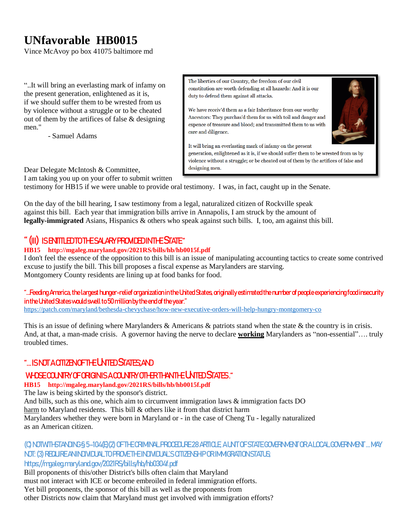# **UNfavorable HB0015**

Vince McAvoy po box 41075 baltimore md

"..It will bring an everlasting mark of infamy on the present generation, enlightened as it is, if we should suffer them to be wrested from us by violence without a struggle or to be cheated out of them by the artifices of false & designing men."

- Samuel Adams

The liberties of our Country, the freedom of our civil constitution are worth defending at all hazards: And it is our duty to defend them against all attacks.

We have receiv'd them as a fair Inheritance from our worthy Ancestors: They purchas'd them for us with toil and danger and expence of treasure and blood; and transmitted them to us with care and diligence.



It will bring an everlasting mark of infamy on the present

generation, enlightened as it is, if we should suffer them to be wrested from us by violence without a struggle; or be cheated out of them by the artifices of false and designing men.

Dear Delegate McIntosh & Committee,

I am taking you up on your offer to submit written

testimony for HB15 if we were unable to provide oral testimony. I was, in fact, caught up in the Senate.

On the day of the bill hearing, I saw testimony from a legal, naturalized citizen of Rockville speak against this bill. Each year that immigration bills arrive in Annapolis, I am struck by the amount of **legally-immigrated** Asians, Hispanics & others who speak against such bills. I, too, am against this bill.

## "(III) IS ENTITLED TO THE SALARY PROVIDED IN THE STATE"

**HB15 http://mgaleg.maryland.gov/2021RS/bills/hb/hb0015f.pdf**

I don't feel the essence of the opposition to this bill is an issue of manipulating accounting tactics to create some contrived excuse to justify the bill. This bill proposes a fiscal expense as Marylanders are starving. Montgomery County residents are lining up at food banks for food.

## "…Feeding America, the largest hunger-relief organization in the United States, originally estimated the number of people experiencing food insecurity in the United States would swell to 50 million by the end of the year."

<https://patch.com/maryland/bethesda-chevychase/how-new-executive-orders-will-help-hungry-montgomery-co>

This is an issue of defining where Marylanders & Americans & patriots stand when the state & the country is in crisis. And, at that, a man-made crisis. A governor having the nerve to declare **working** Marylanders as "non-essential"…. truly troubled times.

## **"... ISNOT A CITIZEN OF THE UNTED STATES AND**

## WHOSE COUNTRY OF ORIGINIS A COUNTRY OTHER THAN THE UNTED STATES."

**HB15 http://mgaleg.maryland.gov/2021RS/bills/hb/hb0015f.pdf**

The law is being skirted by the sponsor's district.

And bills, such as this one, which aim to circumvent immigration laws & immigration facts DO harm to Maryland residents. This bill & others like it from that district harm Marylanders whether they were born in Maryland or - in the case of Cheng Tu - legally naturalized as an American citizen.

### (C) NOTWITHSTANDING § 5–104(E)(2) OF THE CRIMINAL PROCEDURE 28 ARTICLE, A UNIT OF STATE GOVERNMENT OR A LOCAL GOVERNMENT … MAY NOT: (3) REQUIRE AN INDIVIDUAL TO PROVE THE INDIVIDUAL'S CITIZENSHIP OR IMMIGRATION STATUS; https://mgaleg.maryland.gov/2021RS/bills/hb/hb0304f.pdf

Bill proponents of this/other District's bills often claim that Maryland must not interact with ICE or become embroiled in federal immigration efforts. Yet bill proponents, the sponsor of this bill as well as the proponents from other Districts now claim that Maryland must get involved with immigration efforts?